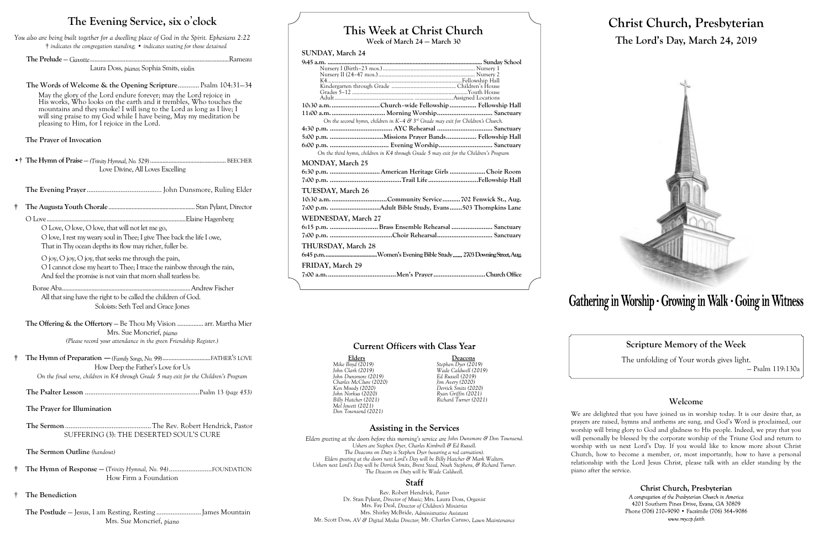# **This Week at Christ Church**

**Week of March 24 — March 30**

## **SUNDAY, March 24**

| 10:30 a.m. Church-wide Fellowship  Fellowship Hall                                    |
|---------------------------------------------------------------------------------------|
|                                                                                       |
| On the second hymn, children in $K-4$ & $3rd$ Grade may exit for Children's Church.   |
|                                                                                       |
|                                                                                       |
|                                                                                       |
| On the third hymn, children in K4 through Grade 5 may exit for the Children's Program |
| <b>MONDAY, March 25</b>                                                               |
|                                                                                       |
|                                                                                       |
| TUESDAY, March 26                                                                     |
|                                                                                       |
| 7:00 p.m. Adult Bible Study, Evans503 Thompkins Lane                                  |
| WEDNESDAY, March 27                                                                   |
| 6:15 p.m. Brass Ensemble Rehearsal  Sanctuary                                         |
|                                                                                       |
| THURSDAY, March 28                                                                    |
|                                                                                       |
| FRIDAY, March 29                                                                      |
|                                                                                       |
|                                                                                       |

# **Current Officers with Class Year**

**Elders Deacons**

*Mike Boyd (2019) Stephen Dyer (2019) <u>Elders</u><br>
<i>John Clark (2019)*<br> *John Clark (2019)*<br> *John Dunsmore (2019)*<br> *John Dunsmore (2019)*<br> *Led Russell (2019) Billy Hatcher (2021) Richard Turner (2021)*

# **Assisting in the Services**

*John Dunsmore (2019) Ed Russell (2019) Charles McClure (2020) Jim Avery (2020) Ken Moody (2020) Derrick Smits (2020) John Norkus (2020) Ryan Griffin (2021) Mel Jewett (2021)*

*Don Townsend (2021)*

*Elders greeting at the doors before this morning's service are John Dunsmore & Don Townsend. Ushers are Stephen Dyer, Charles Kimbrell & Ed Russell. The Deacons on Duty is Stephen Dyer (wearing a red carnation). Elders greeting at the doors next Lord's Day will be Billy Hatcher & Mark Walters. Ushers next Lord's Day will be Derrick Smits, Brent Steed, Noah Stephens, & Richard Turner. The Deacon on Duty will be Wade Caldwell.*

## **Staff**

Rev. Robert Hendrick, *Pastor* Dr. Stan Pylant, *Director of Music;* Mrs. Laura Doss, *Organist* Mrs. Fay Deal, *Director of Children's Ministries* Mrs. Shirley McBride, *Administrative Assistant* Mr. Scott Doss, *AV & Digital Media Director;* Mr. Charles Caruso, *Lawn Maintenance*



# **Christ Church, Presbyterian The Lord's Day, March 24, 2019**



# Gathering in Worship · Growing in Walk · Going in Witness

# **Scripture Memory of the Week**

The unfolding of Your words gives light.

— Psalm 119:130a

## **Welcome**

Christ Church, Presbyterian A congregation of the Presbyterian Church in America 4201 Southern Pines Drive, Evans, GA 30809 Phone (706) 210-9090 • Facsimile (706) 364-9086 www.myccp.faith

We are delighted that you have joined us in worship today. It is our desire that, as prayers are raised, hymns and anthems are sung, and God's Word is proclaimed, our worship will bring glory to God and gladness to His people. Indeed, we pray that you will personally be blessed by the corporate worship of the Triune God and return to worship with us next Lord's Day. If you would like to know more about Christ Church, how to become a member, or, most importantly, how to have a personal relationship with the Lord Jesus Christ, please talk with an elder standing by the piano after the service.

# **The Evening Service, six o**'**clock**

*You also are being built together for a dwelling place of God in the Spirit. Ephesians 2:22* † *indicates the congregation standing;* • *indicates seating for those detained*

**The Prelude** — *Gavotte*..........................................................................................Rameau

Laura Doss, *piano*; Sophia Smits, *violin*

**The Words of Welcome & the Opening Scripture**............ Psalm 104:31—34 May the glory of the Lord endure forever; may the Lord rejoice in His works, Who looks on the earth and it trembles, Who touches the mountains and they smoke! I will isng to the Lord as long as I live; I will sing praise to my God while I have being, May my meditation be pleasing to Him, for I rejoice in the Lord.

**The Prayer of Invocation**

•† **The Hymn of Praise** — *(Trinity Hymnal, No. 529)* ................................................. BEECHER Love Divine, All Loves Excelling

**The Evening Prayer**.......................................... John Dunsmore, Ruling Elder

**† The Augusta Youth Chorale**........................................................Stan Pylant, Director

O Love..........................................................................................Elaine Hagenberg

O Love, O love, O love, that will not let me go, O love, I rest my weary soul in Thee; I give Thee back the life I owe, That in Thy ocean depths its flow may richer, fuller be.

O joy, O joy, O joy, that seeks me through the pain, O I cannot close my heart to Thee; I trace the rainbow through the rain, And feel the promise is not vain that morn shall tearless be.

Bonse Aba...................................................................................Andrew Fischer All that sing have the right to be called the children of God. Soloists: Seth Teel and Grace Jones

**The Offering & the Offertory** — Be Thou My Vision ................ arr. Martha Mier Mrs. Sue Moncrief, *piano (Please record your attendance in the green Friendship Register.)*

**† The Hymn of Preparation** —*(Family Songs, No. 99)*...............................FATHER'S LOVE How Deep the Father's Love for Us *On the final verse, children in K4 through Grade 5 may exit for the Children's Program*

**The Psalter Lesson** ................................................................Psalm 13 *(page 453)*

#### **The Prayer for Illumination**

**The Sermon** ................................................The Rev. Robert Hendrick, Pastor SUFFERING (3): THE DESERTED SOUL'S CURE

**The Sermon Outline** *(handout)*

- **† The Hymn of Response —** (*Trinity Hymnal, No. 94)*........................FOUNDATION How Firm a Foundation
- † **The Benediction**
	- **The Postlude**  Jesus, I am Resting, Resting .........................James Mountain Mrs. Sue Moncrief, *piano*